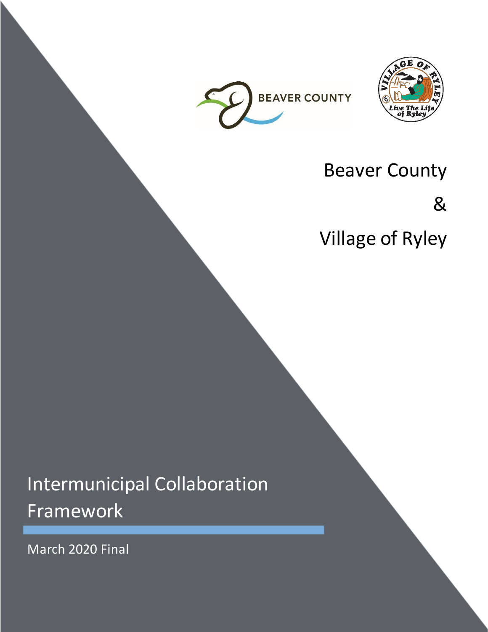



## Beaver County

&

Village of Ryley

# Intermunicipal Collaboration Framework

March 2020 Final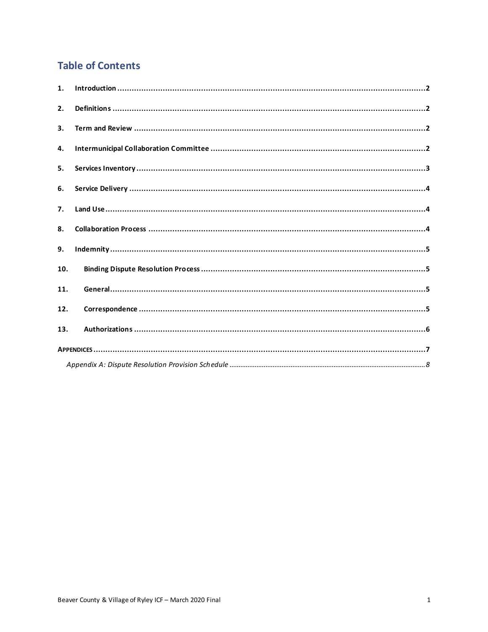### **Table of Contents**

| 1.  |  |
|-----|--|
| 2.  |  |
| 3.  |  |
| 4.  |  |
| 5.  |  |
| 6.  |  |
| 7.  |  |
| 8.  |  |
| 9.  |  |
| 10. |  |
| 11. |  |
| 12. |  |
| 13. |  |
|     |  |
|     |  |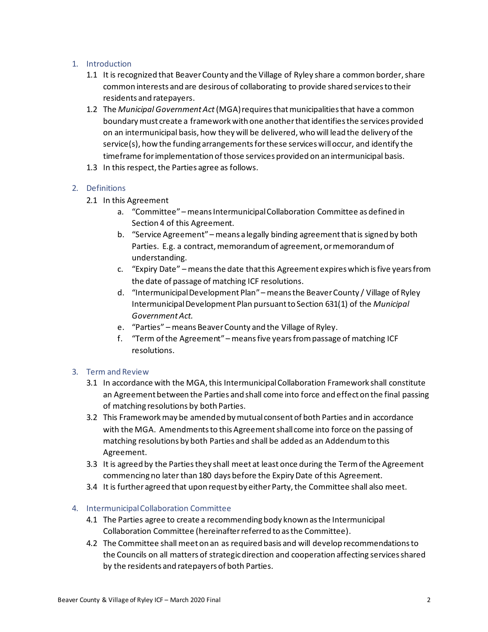#### <span id="page-2-0"></span>1. Introduction

- 1.1 It is recognized that Beaver County and the Village of Ryley share a common border, share common interests and are desirous of collaborating to provide shared services to their residents and ratepayers.
- 1.2 The *Municipal Government Act*(MGA) requires that municipalities that have a common boundary must create a framework with one another that identifies the services provided on an intermunicipal basis, how they will be delivered, who will lead the delivery of the service(s), how the funding arrangements for these services willoccur, and identify the timeframe for implementation of those services provided on an intermunicipal basis.
- 1.3 In this respect, the Parties agree as follows.

#### <span id="page-2-1"></span>2. Definitions

- 2.1 In this Agreement
	- a. "Committee" means Intermunicipal Collaboration Committee as defined in Section 4 of this Agreement.
	- b. "Service Agreement" means a legally binding agreement that is signed by both Parties. E.g. a contract, memorandum of agreement, or memorandum of understanding.
	- c. "Expiry Date" means the date that this Agreement expires which is five years from the date of passage of matching ICF resolutions.
	- d. "Intermunicipal Development Plan" means the Beaver County / Village of Ryley Intermunicipal Development Plan pursuant to Section 631(1) of the *Municipal Government Act.*
	- e. "Parties" means Beaver County and the Village of Ryley.
	- f. "Term of the Agreement" means five years from passage of matching ICF resolutions.

#### <span id="page-2-2"></span>3. Term and Review

- 3.1 In accordance with the MGA, this Intermunicipal Collaboration Framework shall constitute an Agreement between the Parties and shall come into force and effect on the final passing of matching resolutions by both Parties.
- 3.2 This Framework may be amended by mutual consent of both Parties and in accordance with the MGA. Amendments to this Agreementshall come into force on the passing of matching resolutions by both Parties and shall be added as an Addendum to this Agreement.
- 3.3 It is agreed by the Parties they shall meet at least once during the Term of the Agreement commencing no later than 180 days before the Expiry Date of this Agreement.
- 3.4 It is further agreed that upon request by either Party, the Committee shall also meet.

#### <span id="page-2-3"></span>4. Intermunicipal Collaboration Committee

- 4.1 The Parties agree to create a recommending body known as the Intermunicipal Collaboration Committee (hereinafter referred to as the Committee).
- 4.2 The Committee shall meet on an as required basis and will develop recommendations to the Councils on all matters of strategic direction and cooperation affecting services shared by the residents and ratepayers of both Parties.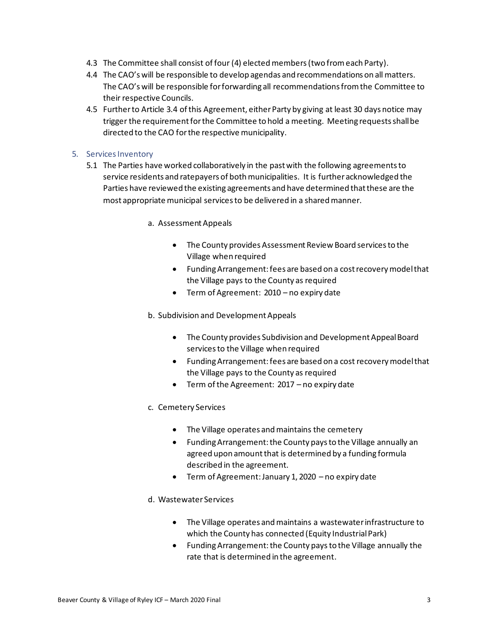- 4.3 The Committee shall consist of four (4) elected members(two from each Party).
- 4.4 The CAO's will be responsible to develop agendas and recommendations on all matters. The CAO's will be responsible for forwarding all recommendations from the Committee to their respective Councils.
- 4.5 Further to Article 3.4 of this Agreement, either Party by giving at least 30 days notice may trigger the requirement for the Committee to hold a meeting. Meeting requests shall be directed to the CAO for the respective municipality.

#### <span id="page-3-0"></span>5. Services Inventory

- 5.1 The Parties have worked collaboratively in the past with the following agreements to service residents and ratepayers of both municipalities. It is further acknowledged the Parties have reviewed the existing agreements and have determined that these are the most appropriate municipal services to be delivered in a shared manner.
	- a. Assessment Appeals
		- The County provides Assessment Review Board services to the Village when required
		- Funding Arrangement: fees are based on a cost recovery model that the Village pays to the County as required
		- Term of Agreement: 2010 no expiry date

b. Subdivision and Development Appeals

- The County provides Subdivision and Development Appeal Board services to the Village when required
- Funding Arrangement: fees are based on a cost recovery model that the Village pays to the County as required
- Term of the Agreement: 2017 no expiry date
- c. Cemetery Services
	- The Village operates and maintains the cemetery
	- Funding Arrangement: the County pays to the Village annually an agreed upon amount that is determined by a funding formula described in the agreement.
	- Term of Agreement: January 1, 2020 no expiry date

#### d. Wastewater Services

- The Village operates and maintains a wastewater infrastructure to which the County has connected (Equity Industrial Park)
- Funding Arrangement: the County paysto the Village annually the rate that is determined in the agreement.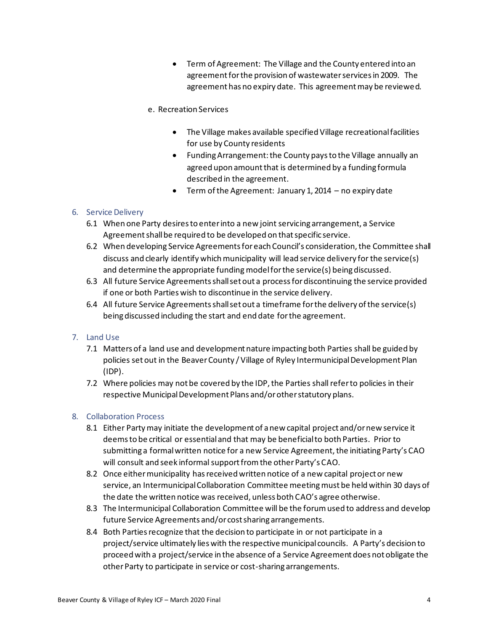• Term of Agreement: The Village and the County entered into an agreement for the provision of wastewater services in 2009. The agreement has no expiry date. This agreement may be reviewed.

#### e. Recreation Services

- The Village makes available specified Village recreational facilities for use by County residents
- Funding Arrangement: the County pays to the Village annually an agreed upon amount that is determined by a funding formula described in the agreement.
- Term of the Agreement: January 1, 2014 no expiry date

#### <span id="page-4-0"></span>6. Service Delivery

- 6.1 When one Party desires to enter into a new joint servicing arrangement, a Service Agreement shall be required to be developed on that specific service.
- 6.2 When developing Service Agreements for each Council's consideration, the Committee shall discuss and clearly identify which municipality will lead service delivery for the service(s) and determine the appropriate funding model for the service(s) being discussed.
- 6.3 All future Service Agreements shall set out a process for discontinuing the service provided if one or both Parties wish to discontinue in the service delivery.
- 6.4 All future Service Agreements shall set out a timeframe for the delivery of the service(s) being discussed including the start and end date for the agreement.

#### <span id="page-4-1"></span>7. Land Use

- 7.1 Matters of a land use and development nature impacting both Parties shall be guided by policies set out in the Beaver County / Village of Ryley Intermunicipal Development Plan (IDP).
- 7.2 Where policies may not be covered by the IDP, the Parties shall refer to policies in their respective Municipal Development Plans and/or other statutory plans.

#### <span id="page-4-2"></span>8. Collaboration Process

- 8.1 Either Party may initiate the development of a new capital project and/or new service it deems to be critical or essentialand that may be beneficial to both Parties. Prior to submitting a formal written notice for a new Service Agreement, the initiating Party's CAO will consult and seek informal support from the other Party's CAO.
- 8.2 Once either municipality has received written notice of a new capital project or new service, an Intermunicipal Collaboration Committee meeting must be held within 30 days of the date the written notice was received, unless both CAO's agree otherwise.
- 8.3 The Intermunicipal Collaboration Committee will be the forum used to address and develop future Service Agreements and/or cost sharing arrangements.
- 8.4 Both Parties recognize that the decision to participate in or not participate in a project/service ultimately lies with the respective municipal councils. A Party's decision to proceed with a project/service in the absence of a Service Agreement does not obligate the other Party to participate in service or cost-sharing arrangements.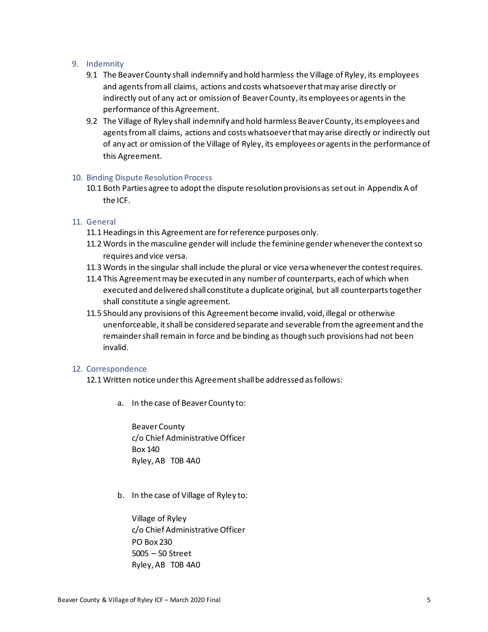#### <span id="page-5-0"></span>9. Indemnity

- 9.1 The Beaver County shall indemnify and hold harmless the Village of Ryley, its employees and agents from all claims, actions and costs whatsoever that may arise directly or indirectly out of any act or omission of Beaver County, its employees or agents in the performance of this Agreement.
- 9.2 The Village of Ryley shall indemnify and hold harmless Beaver County, its employees and agents from all claims, actions and costs whatsoever that may arise directly or indirectly out of any act or omission of the Village of Ryley, its employees or agents in the performance of this Agreement.

#### <span id="page-5-1"></span>10. Binding Dispute Resolution Process

10.1 Both Parties agree to adopt the dispute resolution provisions as set out in Appendix A of the ICF.

#### <span id="page-5-2"></span>11. General

- 11.1 Headings in this Agreement are for reference purposes only.
- 11.2 Words in the masculine gender will include the feminine gender whenever the context so requires and vice versa.
- 11.3 Words in the singular shall include the plural or vice versa whenever the contest requires.
- 11.4 This Agreement may be executed in any number of counterparts, each of which when executed and delivered shall constitute a duplicate original, but all counterparts together shall constitute a single agreement.
- 11.5 Should any provisions of this Agreement become invalid, void, illegal or otherwise unenforceable, it shall be considered separate and severable from the agreement and the remainder shall remain in force and be binding as though such provisions had not been invalid.

#### <span id="page-5-3"></span>12. Correspondence

- 12.1 Written notice under this Agreement shall be addressed as follows:
	- a. In the case of Beaver County to:

BeaverCounty c/o Chief Administrative Officer Box 140 Ryley, AB T0B 4A0

b. In the case of Village of Ryley to:

Village of Ryley c/o Chief Administrative Officer PO Box 230 5005 – 50 Street Ryley, AB T0B 4A0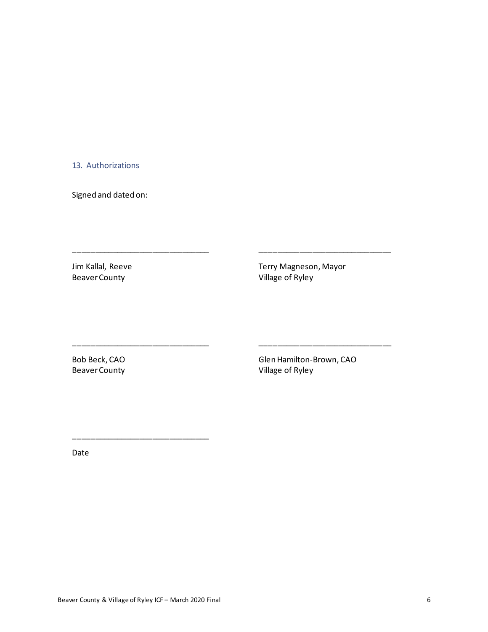#### <span id="page-6-0"></span>13. Authorizations

Signed and dated on:

Jim Kallal, Reeve **Terry Magneson, Mayor** Terry Magneson, Mayor Beaver County Village of Ryley

\_\_\_\_\_\_\_\_\_\_\_\_\_\_\_\_\_\_\_\_\_\_\_\_\_\_\_\_\_\_\_ \_\_\_\_\_\_\_\_\_\_\_\_\_\_\_\_\_\_\_\_\_\_\_\_\_\_\_\_\_\_

\_\_\_\_\_\_\_\_\_\_\_\_\_\_\_\_\_\_\_\_\_\_\_\_\_\_\_\_\_\_\_ \_\_\_\_\_\_\_\_\_\_\_\_\_\_\_\_\_\_\_\_\_\_\_\_\_\_\_\_\_\_

Bob Beck, CAO Glen Hamilton-Brown, CAO Beaver County **County Beaver County Village of Ryley** 

Date

\_\_\_\_\_\_\_\_\_\_\_\_\_\_\_\_\_\_\_\_\_\_\_\_\_\_\_\_\_\_\_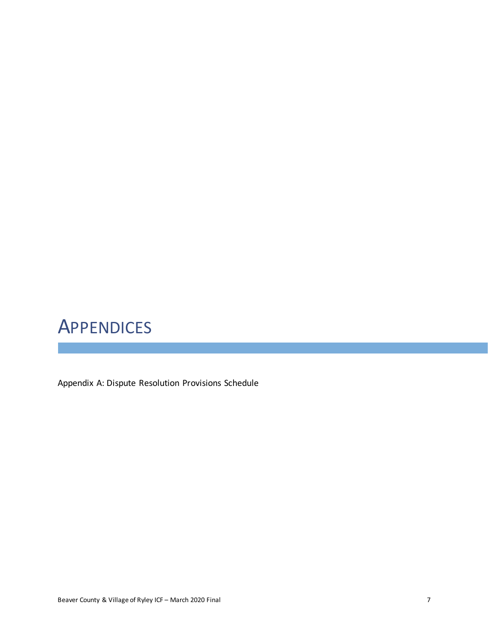## <span id="page-7-0"></span>**APPENDICES**

Appendix A: Dispute Resolution Provisions Schedule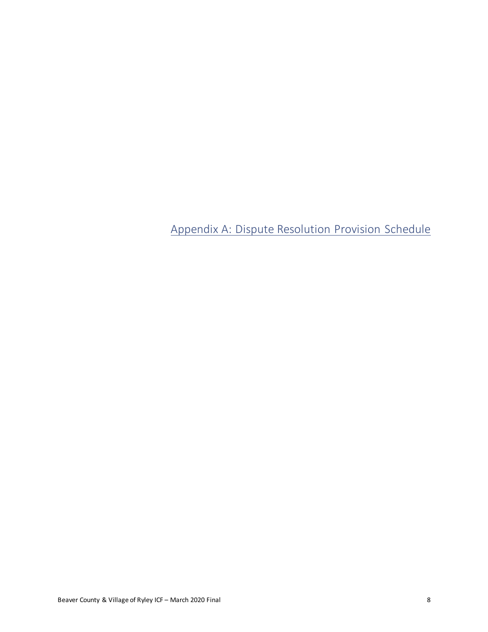<span id="page-8-0"></span>Appendix A: Dispute Resolution Provision Schedule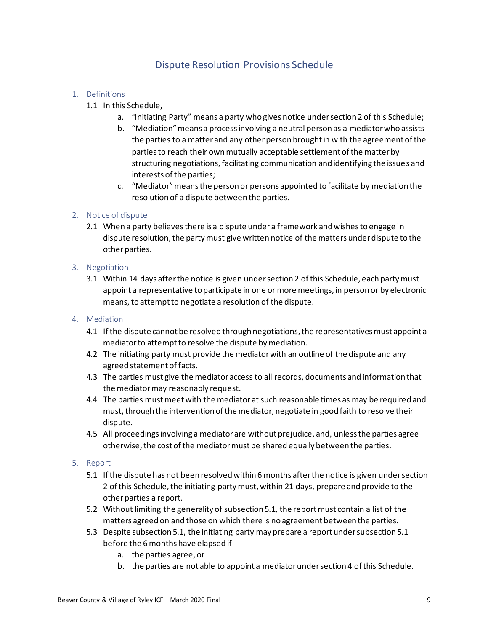### Dispute Resolution Provisions Schedule

#### 1. Definitions

- 1.1 In this Schedule,
	- a. "Initiating Party" means a party who gives notice under section 2 of this Schedule;
	- b. "Mediation" means a process involving a neutral person as a mediator who assists the parties to a matter and any other person brought in with the agreement of the parties to reach their own mutually acceptable settlement of the matter by structuring negotiations, facilitating communication and identifying the issues and interests of the parties;
	- c. "Mediator" means the person or persons appointed to facilitate by mediation the resolution of a dispute between the parties.

#### 2. Notice of dispute

2.1 When a party believes there is a dispute under a framework and wishes to engage in dispute resolution, the party must give written notice of the matters under dispute to the other parties.

#### 3. Negotiation

3.1 Within 14 days after the notice is given under section 2 of this Schedule, each party must appoint a representative to participate in one or more meetings, in person or by electronic means, to attempt to negotiate a resolution of the dispute.

#### 4. Mediation

- 4.1 If the dispute cannot be resolved through negotiations, the representatives must appoint a mediator to attempt to resolve the dispute by mediation.
- 4.2 The initiating party must provide the mediator with an outline of the dispute and any agreed statement of facts.
- 4.3 The parties must give the mediator access to all records, documents and information that the mediator may reasonably request.
- 4.4 The parties must meet with the mediator at such reasonable times as may be required and must, through the intervention of the mediator, negotiate in good faith to resolve their dispute.
- 4.5 All proceedings involving a mediator are without prejudice, and, unless the parties agree otherwise, the cost of the mediator must be shared equally between the parties.

#### 5. Report

- 5.1 If the dispute has not been resolved within 6 months after the notice is given under section 2 of this Schedule, the initiating party must, within 21 days, prepare and provide to the other parties a report.
- 5.2 Without limiting the generality of subsection 5.1, the report must contain a list of the matters agreed on and those on which there is no agreement between the parties.
- 5.3 Despite subsection 5.1, the initiating party may prepare a report under subsection 5.1 before the 6 months have elapsed if
	- a. the parties agree, or
	- b. the parties are not able to appoint a mediator under section 4 of this Schedule.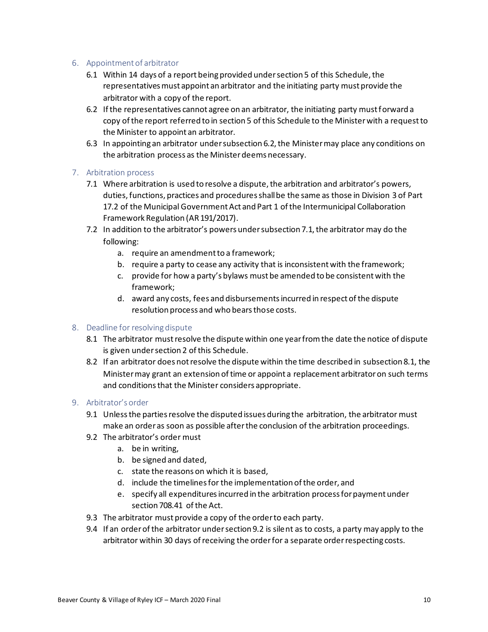#### 6. Appointment of arbitrator

- 6.1 Within 14 days of a report being provided under section 5 of this Schedule, the representatives must appoint an arbitrator and the initiating party must provide the arbitrator with a copy of the report.
- 6.2 If the representatives cannot agree on an arbitrator, the initiating party must forward a copy of the report referred to in section 5 of this Schedule to the Minister with a request to the Minister to appoint an arbitrator.
- 6.3 In appointing an arbitrator under subsection 6.2, the Minister may place any conditions on the arbitration process as the Minister deems necessary.

#### 7. Arbitration process

- 7.1 Where arbitration is used to resolve a dispute, the arbitration and arbitrator's powers, duties, functions, practices and procedures shall be the same as those in Division 3 of Part 17.2 of the Municipal Government Act and Part 1 of the Intermunicipal Collaboration Framework Regulation (AR 191/2017).
- 7.2 In addition to the arbitrator's powers under subsection 7.1, the arbitrator may do the following:
	- a. require an amendment to a framework;
	- b. require a party to cease any activity that is inconsistent with the framework;
	- c. provide for how a party's bylaws must be amended to be consistent with the framework;
	- d. award any costs, fees and disbursements incurred in respect of the dispute resolution process and who bears those costs.

#### 8. Deadline for resolving dispute

- 8.1 The arbitrator must resolve the dispute within one year from the date the notice of dispute is given under section 2 of this Schedule.
- 8.2 If an arbitrator does not resolve the dispute within the time described in subsection 8.1, the Minister may grant an extension of time or appoint a replacement arbitrator on such terms and conditions that the Minister considers appropriate.

#### 9. Arbitrator's order

- 9.1 Unless the parties resolve the disputed issues during the arbitration, the arbitrator must make an order as soon as possible after the conclusion of the arbitration proceedings.
- 9.2 The arbitrator's order must
	- a. be in writing,
	- b. be signed and dated,
	- c. state the reasons on which it is based,
	- d. include the timelines for the implementation of the order, and
	- e. specify all expenditures incurred in the arbitration process for payment under section 708.41 of the Act.
- 9.3 The arbitrator must provide a copy of the order to each party.
- 9.4 If an order of the arbitrator under section 9.2 is silent as to costs, a party may apply to the arbitrator within 30 days of receiving the order for a separate order respecting costs.